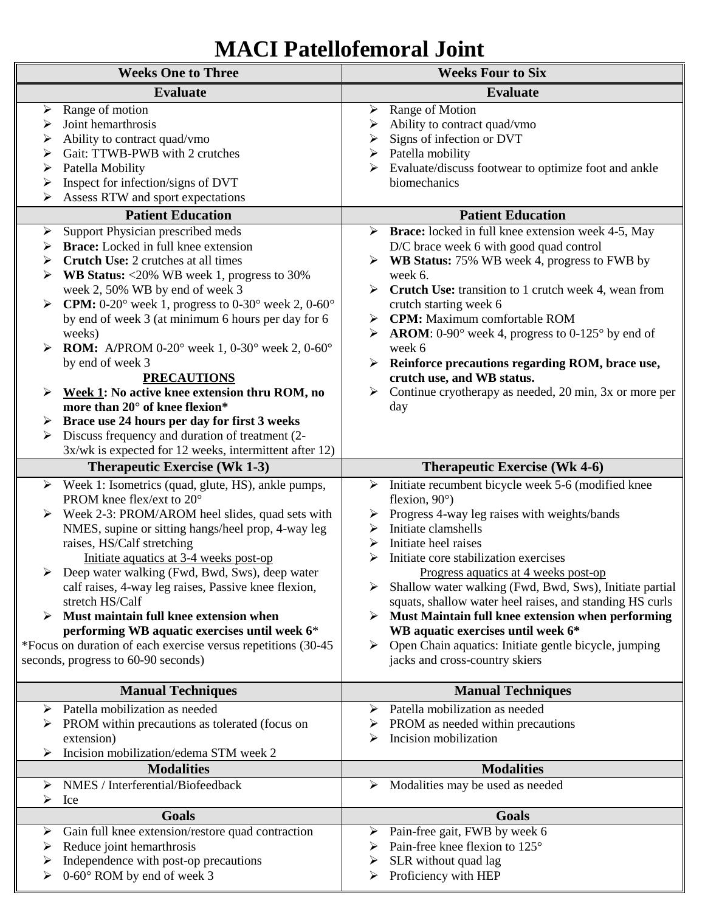# **MACI Patellofemoral Joint**

| <b>Weeks One to Three</b>  |                                                                                                                                                                                                                                                                                                                                                                                                                                                                                                                                                                                                                   | <b>Weeks Four to Six</b> |                                                                                                                                                                                                                                                                                                                                                                                                                                                                                                                                                                          |
|----------------------------|-------------------------------------------------------------------------------------------------------------------------------------------------------------------------------------------------------------------------------------------------------------------------------------------------------------------------------------------------------------------------------------------------------------------------------------------------------------------------------------------------------------------------------------------------------------------------------------------------------------------|--------------------------|--------------------------------------------------------------------------------------------------------------------------------------------------------------------------------------------------------------------------------------------------------------------------------------------------------------------------------------------------------------------------------------------------------------------------------------------------------------------------------------------------------------------------------------------------------------------------|
|                            | <b>Evaluate</b>                                                                                                                                                                                                                                                                                                                                                                                                                                                                                                                                                                                                   |                          | <b>Evaluate</b>                                                                                                                                                                                                                                                                                                                                                                                                                                                                                                                                                          |
| ➤<br>➤<br>➤<br>➤<br>➤<br>➤ | Range of motion<br>Joint hemarthrosis<br>Ability to contract quad/vmo<br>Gait: TTWB-PWB with 2 crutches<br>Patella Mobility<br>Inspect for infection/signs of DVT<br>Assess RTW and sport expectations                                                                                                                                                                                                                                                                                                                                                                                                            | ➤<br>➤<br>➤              | Range of Motion<br>Ability to contract quad/vmo<br>Signs of infection or DVT<br>Patella mobility<br>Evaluate/discuss footwear to optimize foot and ankle<br>biomechanics                                                                                                                                                                                                                                                                                                                                                                                                 |
|                            | <b>Patient Education</b>                                                                                                                                                                                                                                                                                                                                                                                                                                                                                                                                                                                          |                          | <b>Patient Education</b>                                                                                                                                                                                                                                                                                                                                                                                                                                                                                                                                                 |
| ➤<br>weeks)<br>➤<br>➤      | Support Physician prescribed meds<br><b>Brace:</b> Locked in full knee extension<br><b>Crutch Use: 2 crutches at all times</b><br><b>WB Status:</b> $\langle 20\% \text{ WB week } 1$ , progress to 30%<br>week 2, 50% WB by end of week 3<br><b>CPM:</b> 0-20 $^{\circ}$ week 1, progress to 0-30 $^{\circ}$ week 2, 0-60 $^{\circ}$<br>by end of week 3 (at minimum 6 hours per day for 6<br><b>ROM:</b> A/PROM 0-20° week 1, 0-30° week 2, 0-60°<br>by end of week 3<br><b>PRECAUTIONS</b><br>Week 1: No active knee extension thru ROM, no<br>more than 20° of knee flexion*                                  | ➤<br>➤                   | <b>Brace:</b> locked in full knee extension week 4-5, May<br>D/C brace week 6 with good quad control<br>WB Status: 75% WB week 4, progress to FWB by<br>week 6.<br><b>Crutch Use:</b> transition to 1 crutch week 4, wean from<br>crutch starting week 6<br><b>CPM:</b> Maximum comfortable ROM<br><b>AROM:</b> 0-90 $^{\circ}$ week 4, progress to 0-125 $^{\circ}$ by end of<br>week 6<br>Reinforce precautions regarding ROM, brace use,<br>crutch use, and WB status.<br>Continue cryotherapy as needed, 20 min, 3x or more per<br>day                               |
| ➤                          | Brace use 24 hours per day for first 3 weeks<br>Discuss frequency and duration of treatment (2-                                                                                                                                                                                                                                                                                                                                                                                                                                                                                                                   |                          |                                                                                                                                                                                                                                                                                                                                                                                                                                                                                                                                                                          |
|                            | 3x/wk is expected for 12 weeks, intermittent after 12)                                                                                                                                                                                                                                                                                                                                                                                                                                                                                                                                                            |                          |                                                                                                                                                                                                                                                                                                                                                                                                                                                                                                                                                                          |
|                            | <b>Therapeutic Exercise (Wk 1-3)</b>                                                                                                                                                                                                                                                                                                                                                                                                                                                                                                                                                                              |                          | <b>Therapeutic Exercise (Wk 4-6)</b>                                                                                                                                                                                                                                                                                                                                                                                                                                                                                                                                     |
| ➤<br>➤<br>➤                | Week 1: Isometrics (quad, glute, HS), ankle pumps,<br>PROM knee flex/ext to 20°<br>$\triangleright$ Week 2-3: PROM/AROM heel slides, quad sets with<br>NMES, supine or sitting hangs/heel prop, 4-way leg<br>raises, HS/Calf stretching<br>Initiate aquatics at 3-4 weeks post-op<br>Deep water walking (Fwd, Bwd, Sws), deep water<br>calf raises, 4-way leg raises, Passive knee flexion,<br>stretch HS/Calf<br>Must maintain full knee extension when<br>performing WB aquatic exercises until week 6*<br>*Focus on duration of each exercise versus repetitions (30-45<br>seconds, progress to 60-90 seconds) | ➤<br>➤<br>➤<br>➤<br>➤    | Initiate recumbent bicycle week 5-6 (modified knee<br>flexion, $90^\circ$ )<br>Progress 4-way leg raises with weights/bands<br>Initiate clamshells<br>Initiate heel raises<br>Initiate core stabilization exercises<br>Progress aquatics at 4 weeks post-op<br>Shallow water walking (Fwd, Bwd, Sws), Initiate partial<br>squats, shallow water heel raises, and standing HS curls<br>Must Maintain full knee extension when performing<br>WB aquatic exercises until week 6*<br>Open Chain aquatics: Initiate gentle bicycle, jumping<br>jacks and cross-country skiers |
|                            | <b>Manual Techniques</b>                                                                                                                                                                                                                                                                                                                                                                                                                                                                                                                                                                                          |                          | <b>Manual Techniques</b>                                                                                                                                                                                                                                                                                                                                                                                                                                                                                                                                                 |
| extension)<br>➤            | Patella mobilization as needed<br>PROM within precautions as tolerated (focus on<br>Incision mobilization/edema STM week 2                                                                                                                                                                                                                                                                                                                                                                                                                                                                                        | ➤                        | Patella mobilization as needed<br>PROM as needed within precautions<br>Incision mobilization                                                                                                                                                                                                                                                                                                                                                                                                                                                                             |
| <b>Modalities</b>          |                                                                                                                                                                                                                                                                                                                                                                                                                                                                                                                                                                                                                   |                          | <b>Modalities</b>                                                                                                                                                                                                                                                                                                                                                                                                                                                                                                                                                        |
| ➤<br>➤<br>Ice              | NMES / Interferential/Biofeedback                                                                                                                                                                                                                                                                                                                                                                                                                                                                                                                                                                                 | ➤                        | Modalities may be used as needed                                                                                                                                                                                                                                                                                                                                                                                                                                                                                                                                         |
|                            | <b>Goals</b>                                                                                                                                                                                                                                                                                                                                                                                                                                                                                                                                                                                                      |                          | <b>Goals</b>                                                                                                                                                                                                                                                                                                                                                                                                                                                                                                                                                             |
| ➤<br>➤<br>➤<br>➤           | Gain full knee extension/restore quad contraction<br>Reduce joint hemarthrosis<br>Independence with post-op precautions<br>0-60° ROM by end of week 3                                                                                                                                                                                                                                                                                                                                                                                                                                                             | ➤<br>➤<br>➤              | Pain-free gait, FWB by week 6<br>Pain-free knee flexion to 125°<br>SLR without quad lag<br>Proficiency with HEP                                                                                                                                                                                                                                                                                                                                                                                                                                                          |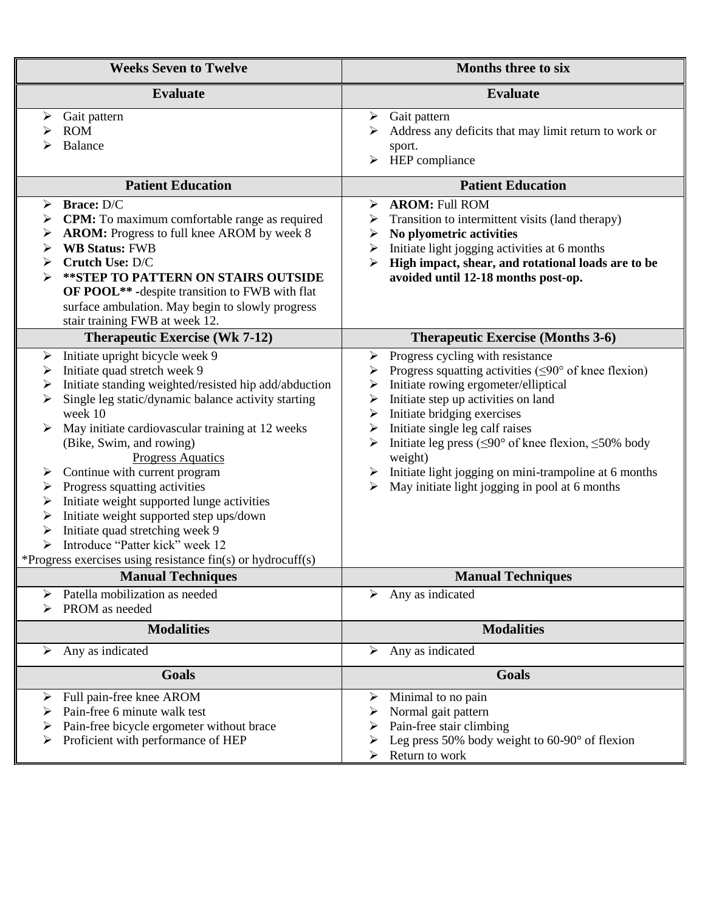| <b>Weeks Seven to Twelve</b>                                                                                                                                                                                                                                                                                                                                                                                                                                                                                                                                                                                                                                                        | <b>Months three to six</b>                                                                                                                                                                                                                                                                                                                                                                                                                                                                    |  |
|-------------------------------------------------------------------------------------------------------------------------------------------------------------------------------------------------------------------------------------------------------------------------------------------------------------------------------------------------------------------------------------------------------------------------------------------------------------------------------------------------------------------------------------------------------------------------------------------------------------------------------------------------------------------------------------|-----------------------------------------------------------------------------------------------------------------------------------------------------------------------------------------------------------------------------------------------------------------------------------------------------------------------------------------------------------------------------------------------------------------------------------------------------------------------------------------------|--|
| <b>Evaluate</b>                                                                                                                                                                                                                                                                                                                                                                                                                                                                                                                                                                                                                                                                     | <b>Evaluate</b>                                                                                                                                                                                                                                                                                                                                                                                                                                                                               |  |
| Gait pattern<br>≻<br><b>ROM</b><br>Balance                                                                                                                                                                                                                                                                                                                                                                                                                                                                                                                                                                                                                                          | $\triangleright$ Gait pattern<br>Address any deficits that may limit return to work or<br>sport.<br>HEP compliance<br>≻                                                                                                                                                                                                                                                                                                                                                                       |  |
| <b>Patient Education</b>                                                                                                                                                                                                                                                                                                                                                                                                                                                                                                                                                                                                                                                            | <b>Patient Education</b>                                                                                                                                                                                                                                                                                                                                                                                                                                                                      |  |
| Brace: D/C<br>➤<br><b>CPM:</b> To maximum comfortable range as required<br>➤<br>AROM: Progress to full knee AROM by week 8<br>➤<br><b>WB Status: FWB</b><br>➤<br>Crutch Use: D/C<br>➤<br>** STEP TO PATTERN ON STAIRS OUTSIDE<br>➤<br>OF POOL** - despite transition to FWB with flat<br>surface ambulation. May begin to slowly progress<br>stair training FWB at week 12.                                                                                                                                                                                                                                                                                                         | <b>AROM: Full ROM</b><br>≻<br>Transition to intermittent visits (land therapy)<br>➤<br>No plyometric activities<br>➤<br>Initiate light jogging activities at 6 months<br>➤<br>High impact, shear, and rotational loads are to be<br>avoided until 12-18 months post-op.                                                                                                                                                                                                                       |  |
| <b>Therapeutic Exercise (Wk 7-12)</b>                                                                                                                                                                                                                                                                                                                                                                                                                                                                                                                                                                                                                                               | <b>Therapeutic Exercise (Months 3-6)</b>                                                                                                                                                                                                                                                                                                                                                                                                                                                      |  |
| Initiate upright bicycle week 9<br>$\blacktriangleright$<br>Initiate quad stretch week 9<br>➤<br>Initiate standing weighted/resisted hip add/abduction<br>➤<br>Single leg static/dynamic balance activity starting<br>➤<br>week 10<br>May initiate cardiovascular training at 12 weeks<br>➤<br>(Bike, Swim, and rowing)<br><b>Progress Aquatics</b><br>Continue with current program<br>➤<br>Progress squatting activities<br>➤<br>Initiate weight supported lunge activities<br>➤<br>Initiate weight supported step ups/down<br>➤<br>Initiate quad stretching week 9<br>➤<br>Introduce "Patter kick" week 12<br>≻<br>*Progress exercises using resistance $fin(s)$ or hydrocuff(s) | Progress cycling with resistance<br>➤<br>Progress squatting activities ( $\leq 90^\circ$ of knee flexion)<br>➤<br>Initiate rowing ergometer/elliptical<br>➤<br>Initiate step up activities on land<br>➤<br>Initiate bridging exercises<br>➤<br>Initiate single leg calf raises<br>➤<br>Initiate leg press ( $\leq 90^\circ$ of knee flexion, $\leq 50\%$ body<br>weight)<br>Initiate light jogging on mini-trampoline at 6 months<br>➤<br>May initiate light jogging in pool at 6 months<br>≻ |  |
| <b>Manual Techniques</b>                                                                                                                                                                                                                                                                                                                                                                                                                                                                                                                                                                                                                                                            | <b>Manual Techniques</b>                                                                                                                                                                                                                                                                                                                                                                                                                                                                      |  |
| Patella mobilization as needed<br>➤<br>PROM as needed                                                                                                                                                                                                                                                                                                                                                                                                                                                                                                                                                                                                                               | Any as indicated<br>➤                                                                                                                                                                                                                                                                                                                                                                                                                                                                         |  |
| <b>Modalities</b>                                                                                                                                                                                                                                                                                                                                                                                                                                                                                                                                                                                                                                                                   | <b>Modalities</b>                                                                                                                                                                                                                                                                                                                                                                                                                                                                             |  |
| Any as indicated<br>➤                                                                                                                                                                                                                                                                                                                                                                                                                                                                                                                                                                                                                                                               | Any as indicated<br>➤                                                                                                                                                                                                                                                                                                                                                                                                                                                                         |  |
| Goals<br>Full pain-free knee AROM<br>➤                                                                                                                                                                                                                                                                                                                                                                                                                                                                                                                                                                                                                                              | <b>Goals</b><br>Minimal to no pain<br>➤                                                                                                                                                                                                                                                                                                                                                                                                                                                       |  |
| Pain-free 6 minute walk test<br>Pain-free bicycle ergometer without brace<br>➤<br>Proficient with performance of HEP<br>➤                                                                                                                                                                                                                                                                                                                                                                                                                                                                                                                                                           | Normal gait pattern<br>➤<br>Pain-free stair climbing<br>➤<br>Leg press 50% body weight to $60-90^\circ$ of flexion<br>Return to work                                                                                                                                                                                                                                                                                                                                                          |  |